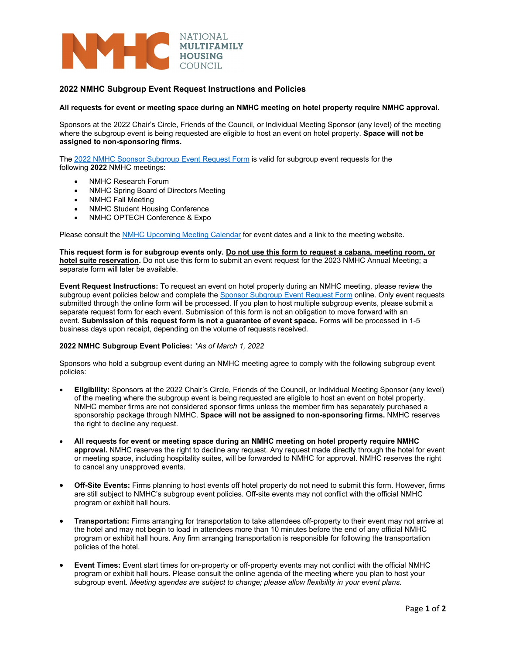

## **2022 NMHC Subgroup Event Request Instructions and Policies**

## **All requests for event or meeting space during an NMHC meeting on hotel property require NMHC approval.**

Sponsors at the 2022 Chair's Circle, Friends of the Council, or Individual Meeting Sponsor (any level) of the meeting where the subgroup event is being requested are eligible to host an event on hotel property. **Space will not be assigned to non-sponsoring firms.**

The 2022 NMHC [Sponsor Subgroup Event Request Form](https://www.cognitoforms.com/NMHC/_2022NMHCSponsorSubgroupEventRequestForm) is valid for subgroup event requests for the following **2022** NMHC meetings:

- NMHC Research Forum
- NMHC Spring Board of Directors Meeting
- NMHC Fall Meeting
- NMHC Student Housing Conference
- NMHC OPTECH Conference & Expo

Please consult the [NMHC Upcoming Meeting Calendar](https://www.nmhc.org/meetings/calendar/upcoming-meetings/) for event dates and a link to the meeting website.

This request form is for subgroup events only. Do not use this form to request a cabana, meeting room, or **hotel suite reservation.** Do not use this form to submit an event request for the 2023 NMHC Annual Meeting; a separate form will later be available.

**Event Request Instructions:** To request an event on hotel property during an NMHC meeting, please review the subgroup event policies below and complete th[e Sponsor Subgroup Event Request Form](https://www.cognitoforms.com/NMHC/_2022NMHCSponsorSubgroupEventRequestForm) online. Only event requests submitted through the online form will be processed. If you plan to host multiple subgroup events, please submit a separate request form for each event. Submission of this form is not an obligation to move forward with an event. **Submission of this request form is not a guarantee of event space.** Forms will be processed in 1-5 business days upon receipt, depending on the volume of requests received.

## **2022 NMHC Subgroup Event Policies:** *\*As of March 1, 2022*

Sponsors who hold a subgroup event during an NMHC meeting agree to comply with the following subgroup event policies:

- **Eligibility:** Sponsors at the 2022 Chair's Circle, Friends of the Council, or Individual Meeting Sponsor (any level) of the meeting where the subgroup event is being requested are eligible to host an event on hotel property. NMHC member firms are not considered sponsor firms unless the member firm has separately purchased a sponsorship package through NMHC. **Space will not be assigned to non-sponsoring firms.** NMHC reserves the right to decline any request.
- **All requests for event or meeting space during an NMHC meeting on hotel property require NMHC approval.** NMHC reserves the right to decline any request. Any request made directly through the hotel for event or meeting space, including hospitality suites, will be forwarded to NMHC for approval. NMHC reserves the right to cancel any unapproved events.
- **Off-Site Events:** Firms planning to host events off hotel property do not need to submit this form. However, firms are still subject to NMHC's subgroup event policies. Off-site events may not conflict with the official NMHC program or exhibit hall hours.
- **Transportation:** Firms arranging for transportation to take attendees off-property to their event may not arrive at the hotel and may not begin to load in attendees more than 10 minutes before the end of any official NMHC program or exhibit hall hours. Any firm arranging transportation is responsible for following the transportation policies of the hotel.
- **Event Times:** Event start times for on-property or off-property events may not conflict with the official NMHC program or exhibit hall hours. Please consult the online agenda of the meeting where you plan to host your subgroup event. *Meeting agendas are subject to change; please allow flexibility in your event plans.*